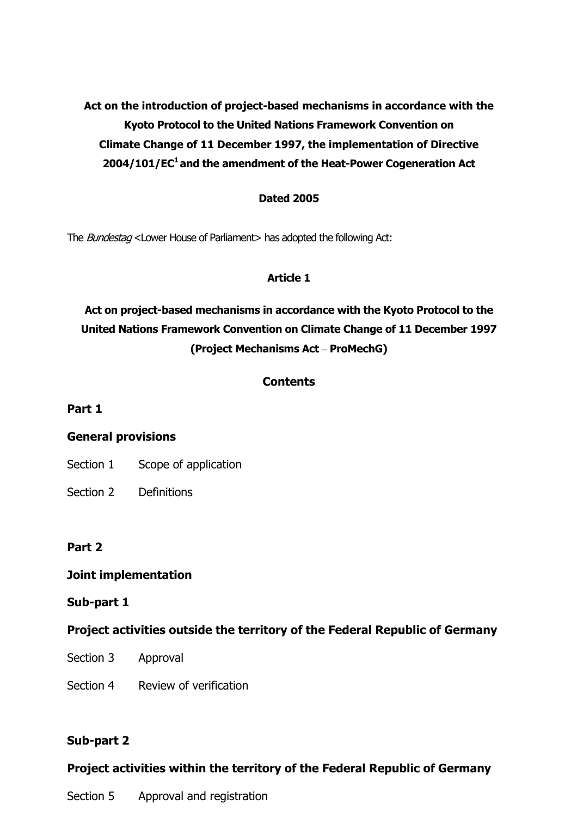**Act on the introduction of project-based mechanisms in accordance with the Kyoto Protocol to the United Nations Framework Convention on Climate Change of 11 December 1997, the implementation of Directive 2004/101/EC1 and the amendment of the Heat-Power Cogeneration Act** 

### **Dated 2005**

The *Bundestag* <Lower House of Parliament> has adopted the following Act:

### **Article 1**

# **Act on project-based mechanisms in accordance with the Kyoto Protocol to the United Nations Framework Convention on Climate Change of 11 December 1997 (Project Mechanisms Act – ProMechG)**

## **Contents**

### **Part 1**

## **General provisions**

- Section 1 Scope of application
- Section 2 Definitions

## **Part 2**

## **Joint implementation**

### **Sub-part 1**

## **Project activities outside the territory of the Federal Republic of Germany**

- Section 3 Approval
- Section 4 Review of verification

## **Sub-part 2**

## **Project activities within the territory of the Federal Republic of Germany**

Section 5 Approval and registration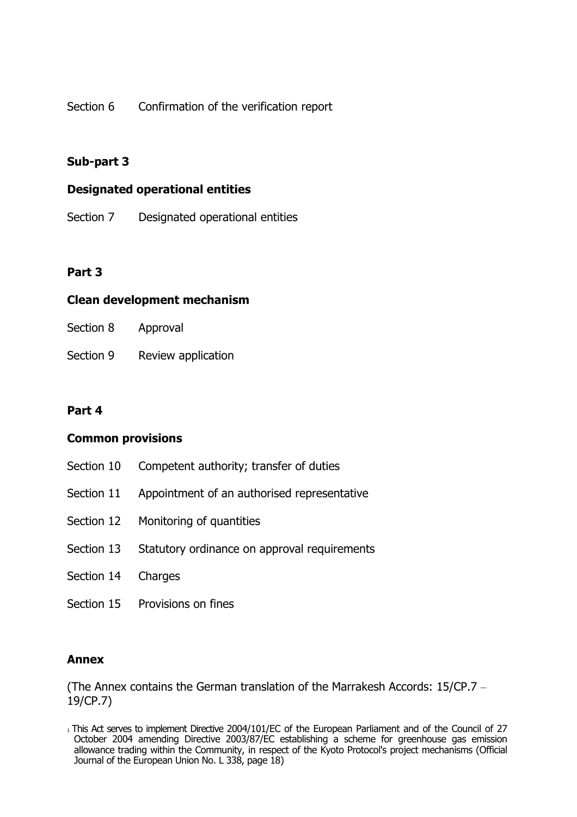Section 6 Confirmation of the verification report

## **Sub-part 3**

### **Designated operational entities**

Section 7 Designated operational entities

## **Part 3**

## **Clean development mechanism**

| Section 8 | Approval |
|-----------|----------|
|-----------|----------|

Section 9 Review application

## **Part 4**

## **Common provisions**

- Section 10 Competent authority; transfer of duties
- Section 11 Appointment of an authorised representative
- Section 12 Monitoring of quantities
- Section 13 Statutory ordinance on approval requirements
- Section 14 Charges
- Section 15 Provisions on fines

## **Annex**

(The Annex contains the German translation of the Marrakesh Accords: 15/CP.7 – 19/CP.7)

<sup>1</sup> This Act serves to implement Directive 2004/101/EC of the European Parliament and of the Council of 27 October 2004 amending Directive 2003/87/EC establishing a scheme for greenhouse gas emission allowance trading within the Community, in respect of the Kyoto Protocol's project mechanisms (Official Journal of the European Union No. L 338, page 18)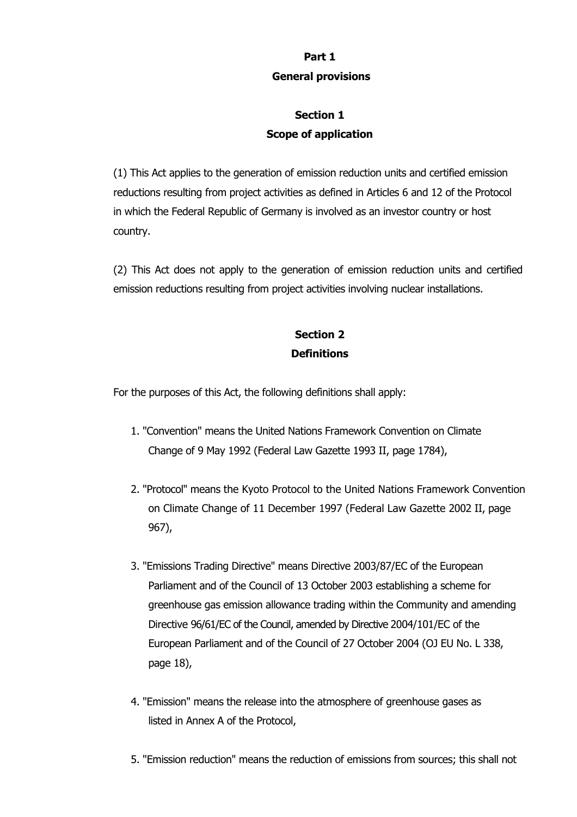## **Part 1 General provisions**

# **Section 1 Scope of application**

(1) This Act applies to the generation of emission reduction units and certified emission reductions resulting from project activities as defined in Articles 6 and 12 of the Protocol in which the Federal Republic of Germany is involved as an investor country or host country.

(2) This Act does not apply to the generation of emission reduction units and certified emission reductions resulting from project activities involving nuclear installations.

# **Section 2 Definitions**

For the purposes of this Act, the following definitions shall apply:

- 1. "Convention" means the United Nations Framework Convention on Climate Change of 9 May 1992 (Federal Law Gazette 1993 II, page 1784),
- 2. "Protocol" means the Kyoto Protocol to the United Nations Framework Convention on Climate Change of 11 December 1997 (Federal Law Gazette 2002 II, page 967),
- 3. "Emissions Trading Directive" means Directive 2003/87/EC of the European Parliament and of the Council of 13 October 2003 establishing a scheme for greenhouse gas emission allowance trading within the Community and amending Directive 96/61/EC of the Council, amended by Directive 2004/101/EC of the European Parliament and of the Council of 27 October 2004 (OJ EU No. L 338, page 18),
- 4. "Emission" means the release into the atmosphere of greenhouse gases as listed in Annex A of the Protocol,
- 5. "Emission reduction" means the reduction of emissions from sources; this shall not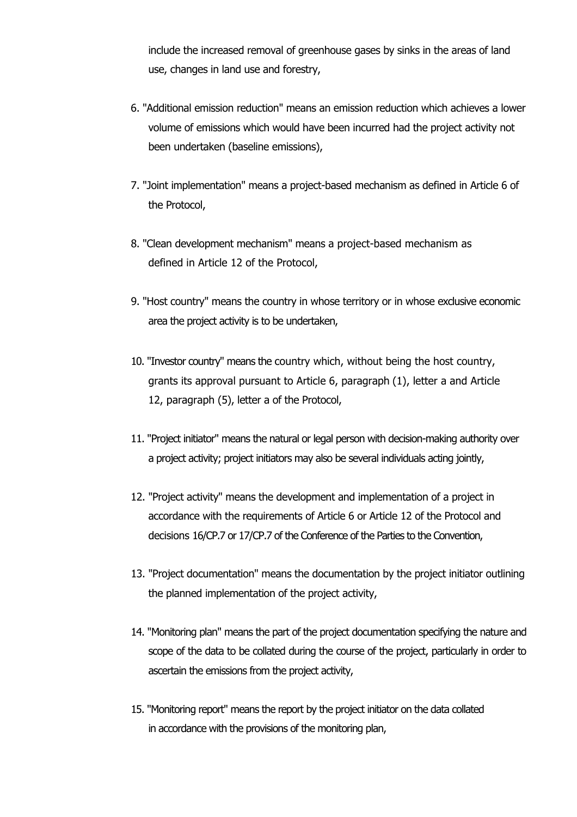include the increased removal of greenhouse gases by sinks in the areas of land use, changes in land use and forestry,

- 6. "Additional emission reduction" means an emission reduction which achieves a lower volume of emissions which would have been incurred had the project activity not been undertaken (baseline emissions),
- 7. "Joint implementation" means a project-based mechanism as defined in Article 6 of the Protocol,
- 8. "Clean development mechanism" means a project-based mechanism as defined in Article 12 of the Protocol,
- 9. "Host country" means the country in whose territory or in whose exclusive economic area the project activity is to be undertaken,
- 10. "Investor country" means the country which, without being the host country, grants its approval pursuant to Article 6, paragraph (1), letter a and Article 12, paragraph (5), letter a of the Protocol,
- 11. "Project initiator" means the natural or legal person with decision-making authority over a project activity; project initiators may also be several individuals acting jointly,
- 12. "Project activity" means the development and implementation of a project in accordance with the requirements of Article 6 or Article 12 of the Protocol and decisions 16/CP.7 or 17/CP.7 of the Conference of the Parties to the Convention,
- 13. "Project documentation" means the documentation by the project initiator outlining the planned implementation of the project activity,
- 14. "Monitoring plan" means the part of the project documentation specifying the nature and scope of the data to be collated during the course of the project, particularly in order to ascertain the emissions from the project activity,
- 15. "Monitoring report" means the report by the project initiator on the data collated in accordance with the provisions of the monitoring plan,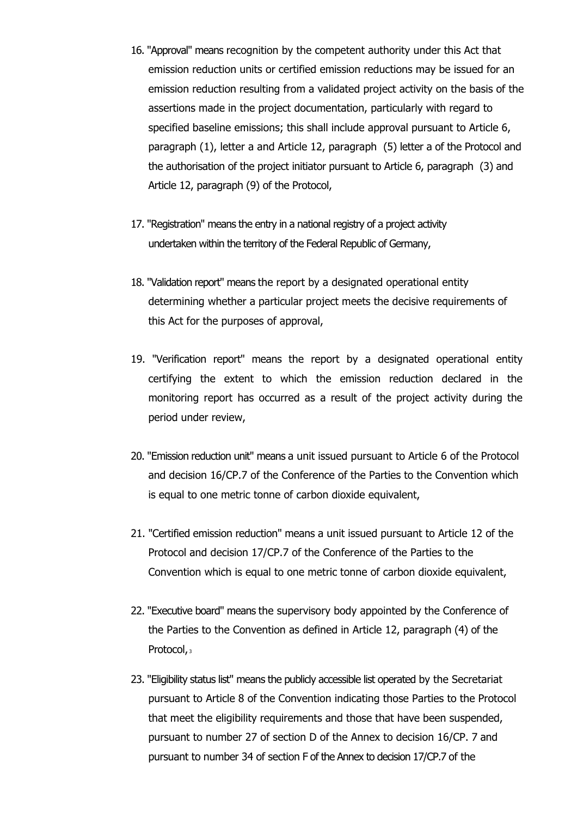- 16. "Approval" means recognition by the competent authority under this Act that emission reduction units or certified emission reductions may be issued for an emission reduction resulting from a validated project activity on the basis of the assertions made in the project documentation, particularly with regard to specified baseline emissions; this shall include approval pursuant to Article 6, paragraph (1), letter a and Article 12, paragraph (5) letter a of the Protocol and the authorisation of the project initiator pursuant to Article 6, paragraph (3) and Article 12, paragraph (9) of the Protocol,
- 17. "Registration" means the entry in a national registry of a project activity undertaken within the territory of the Federal Republic of Germany,
- 18. "Validation report" means the report by a designated operational entity determining whether a particular project meets the decisive requirements of this Act for the purposes of approval,
- 19. "Verification report" means the report by a designated operational entity certifying the extent to which the emission reduction declared in the monitoring report has occurred as a result of the project activity during the period under review,
- 20. "Emission reduction unit" means a unit issued pursuant to Article 6 of the Protocol and decision 16/CP.7 of the Conference of the Parties to the Convention which is equal to one metric tonne of carbon dioxide equivalent,
- 21. "Certified emission reduction" means a unit issued pursuant to Article 12 of the Protocol and decision 17/CP.7 of the Conference of the Parties to the Convention which is equal to one metric tonne of carbon dioxide equivalent,
- 22. "Executive board" means the supervisory body appointed by the Conference of the Parties to the Convention as defined in Article 12, paragraph (4) of the Protocol, 3
- 23. "Eligibility status list" means the publicly accessible list operated by the Secretariat pursuant to Article 8 of the Convention indicating those Parties to the Protocol that meet the eligibility requirements and those that have been suspended, pursuant to number 27 of section D of the Annex to decision 16/CP. 7 and pursuant to number 34 of section F of the Annex to decision 17/CP.7 of the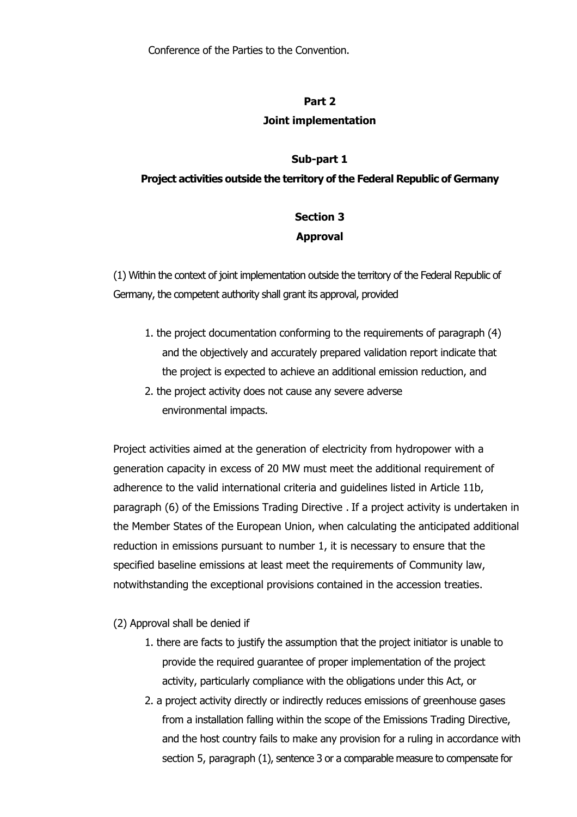#### **Part 2**

#### **Joint implementation**

#### **Sub-part 1**

#### **Project activities outside the territory of the Federal Republic of Germany**

## **Section 3 Approval**

(1) Within the context of joint implementation outside the territory of the Federal Republic of Germany, the competent authority shall grant its approval, provided

- 1. the project documentation conforming to the requirements of paragraph (4) and the objectively and accurately prepared validation report indicate that the project is expected to achieve an additional emission reduction, and
- 2. the project activity does not cause any severe adverse environmental impacts.

Project activities aimed at the generation of electricity from hydropower with a generation capacity in excess of 20 MW must meet the additional requirement of adherence to the valid international criteria and guidelines listed in Article 11b, paragraph (6) of the Emissions Trading Directive . If a project activity is undertaken in the Member States of the European Union, when calculating the anticipated additional reduction in emissions pursuant to number 1, it is necessary to ensure that the specified baseline emissions at least meet the requirements of Community law, notwithstanding the exceptional provisions contained in the accession treaties.

- (2) Approval shall be denied if
	- 1. there are facts to justify the assumption that the project initiator is unable to provide the required guarantee of proper implementation of the project activity, particularly compliance with the obligations under this Act, or
	- 2. a project activity directly or indirectly reduces emissions of greenhouse gases from a installation falling within the scope of the Emissions Trading Directive, and the host country fails to make any provision for a ruling in accordance with section 5, paragraph (1), sentence 3 or a comparable measure to compensate for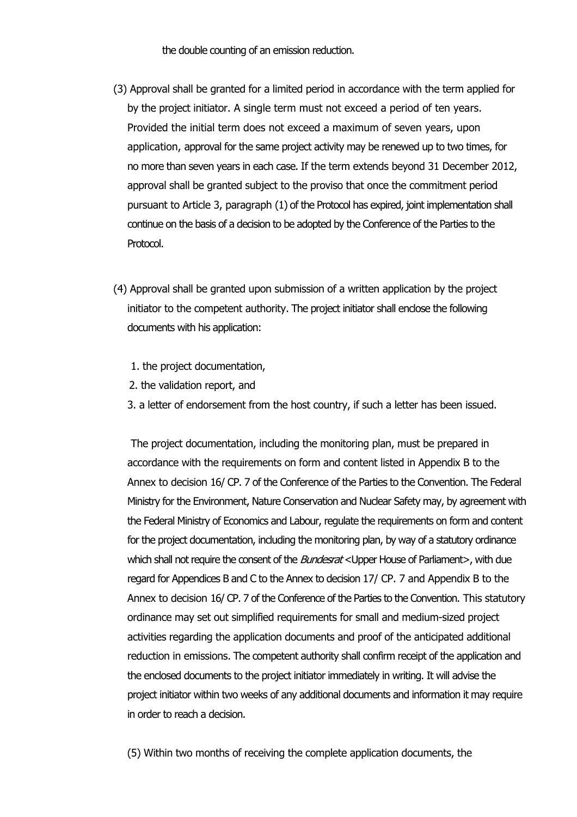the double counting of an emission reduction.

- (3) Approval shall be granted for a limited period in accordance with the term applied for by the project initiator. A single term must not exceed a period of ten years. Provided the initial term does not exceed a maximum of seven years, upon application, approval for the same project activity may be renewed up to two times, for no more than seven years in each case. If the term extends beyond 31 December 2012, approval shall be granted subject to the proviso that once the commitment period pursuant to Article 3, paragraph (1) of the Protocol has expired, joint implementation shall continue on the basis of a decision to be adopted by the Conference of the Parties to the Protocol.
- (4) Approval shall be granted upon submission of a written application by the project initiator to the competent authority. The project initiator shall enclose the following documents with his application:
	- 1. the project documentation,
	- 2. the validation report, and
	- 3. a letter of endorsement from the host country, if such a letter has been issued.

The project documentation, including the monitoring plan, must be prepared in accordance with the requirements on form and content listed in Appendix B to the Annex to decision 16/ CP. 7 of the Conference of the Parties to the Convention. The Federal Ministry for the Environment, Nature Conservation and Nuclear Safety may, by agreement with the Federal Ministry of Economics and Labour, regulate the requirements on form and content for the project documentation, including the monitoring plan, by way of a statutory ordinance which shall not require the consent of the *Bundesrat* <Upper House of Parliament>, with due regard for Appendices B and C to the Annex to decision 17/ CP. 7 and Appendix B to the Annex to decision 16/ CP. 7 of the Conference of the Parties to the Convention. This statutory ordinance may set out simplified requirements for small and medium-sized project activities regarding the application documents and proof of the anticipated additional reduction in emissions. The competent authority shall confirm receipt of the application and the enclosed documents to the project initiator immediately in writing. It will advise the project initiator within two weeks of any additional documents and information it may require in order to reach a decision.

(5) Within two months of receiving the complete application documents, the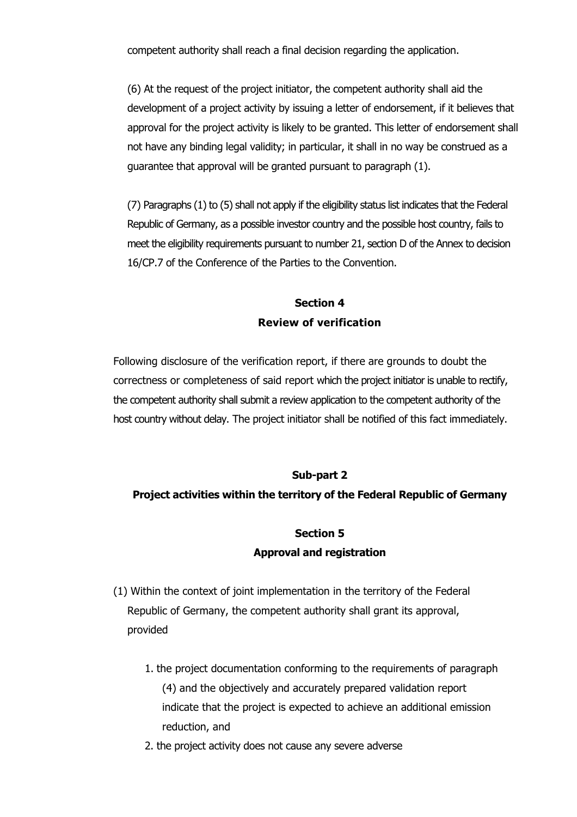competent authority shall reach a final decision regarding the application.

(6) At the request of the project initiator, the competent authority shall aid the development of a project activity by issuing a letter of endorsement, if it believes that approval for the project activity is likely to be granted. This letter of endorsement shall not have any binding legal validity; in particular, it shall in no way be construed as a guarantee that approval will be granted pursuant to paragraph (1).

(7) Paragraphs (1) to (5) shall not apply if the eligibility status list indicates that the Federal Republic of Germany, as a possible investor country and the possible host country, fails to meet the eligibility requirements pursuant to number 21, section D of the Annex to decision 16/CP.7 of the Conference of the Parties to the Convention.

## **Section 4 Review of verification**

Following disclosure of the verification report, if there are grounds to doubt the correctness or completeness of said report which the project initiator is unable to rectify, the competent authority shall submit a review application to the competent authority of the host country without delay. The project initiator shall be notified of this fact immediately.

### **Sub-part 2**

#### **Project activities within the territory of the Federal Republic of Germany**

#### **Section 5**

#### **Approval and registration**

- (1) Within the context of joint implementation in the territory of the Federal Republic of Germany, the competent authority shall grant its approval, provided
	- 1. the project documentation conforming to the requirements of paragraph (4) and the objectively and accurately prepared validation report indicate that the project is expected to achieve an additional emission reduction, and
	- 2. the project activity does not cause any severe adverse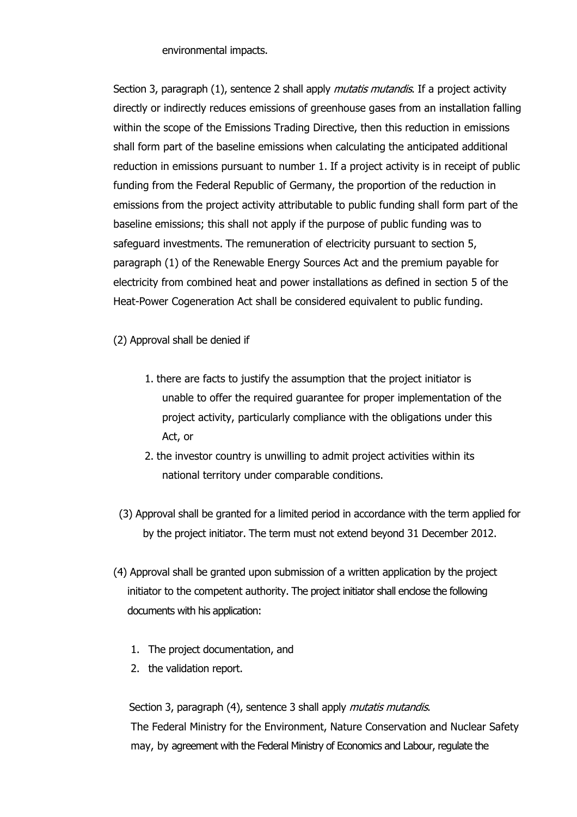#### environmental impacts.

Section 3, paragraph (1), sentence 2 shall apply *mutatis mutandis*. If a project activity directly or indirectly reduces emissions of greenhouse gases from an installation falling within the scope of the Emissions Trading Directive, then this reduction in emissions shall form part of the baseline emissions when calculating the anticipated additional reduction in emissions pursuant to number 1. If a project activity is in receipt of public funding from the Federal Republic of Germany, the proportion of the reduction in emissions from the project activity attributable to public funding shall form part of the baseline emissions; this shall not apply if the purpose of public funding was to safeguard investments. The remuneration of electricity pursuant to section 5, paragraph (1) of the Renewable Energy Sources Act and the premium payable for electricity from combined heat and power installations as defined in section 5 of the Heat-Power Cogeneration Act shall be considered equivalent to public funding.

(2) Approval shall be denied if

- 1. there are facts to justify the assumption that the project initiator is unable to offer the required guarantee for proper implementation of the project activity, particularly compliance with the obligations under this Act, or
- 2. the investor country is unwilling to admit project activities within its national territory under comparable conditions.
- (3) Approval shall be granted for a limited period in accordance with the term applied for by the project initiator. The term must not extend beyond 31 December 2012.
- (4) Approval shall be granted upon submission of a written application by the project initiator to the competent authority. The project initiator shall enclose the following documents with his application:
	- 1. The project documentation, and
	- 2. the validation report.

Section 3, paragraph (4), sentence 3 shall apply *mutatis mutandis*. The Federal Ministry for the Environment, Nature Conservation and Nuclear Safety may, by agreement with the Federal Ministry of Economics and Labour, regulate the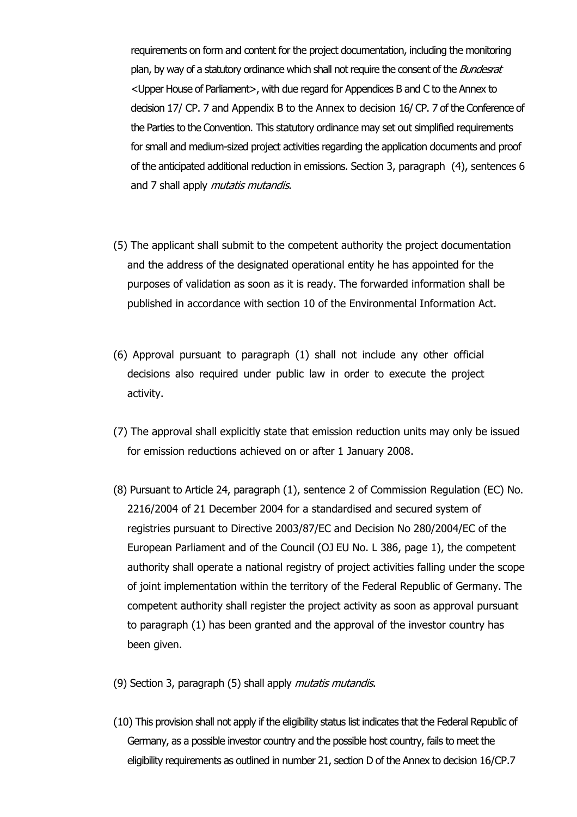requirements on form and content for the project documentation, including the monitoring plan, by way of a statutory ordinance which shall not require the consent of the *Bundesrat* <Upper House of Parliament>, with due regard for Appendices B and C to the Annex to decision 17/ CP. 7 and Appendix B to the Annex to decision 16/ CP. 7 of the Conference of the Parties to the Convention. This statutory ordinance may set out simplified requirements for small and medium-sized project activities regarding the application documents and proof of the anticipated additional reduction in emissions. Section 3, paragraph (4), sentences 6 and 7 shall apply *mutatis mutandis*.

- (5) The applicant shall submit to the competent authority the project documentation and the address of the designated operational entity he has appointed for the purposes of validation as soon as it is ready. The forwarded information shall be published in accordance with section 10 of the Environmental Information Act.
- (6) Approval pursuant to paragraph (1) shall not include any other official decisions also required under public law in order to execute the project activity.
- (7) The approval shall explicitly state that emission reduction units may only be issued for emission reductions achieved on or after 1 January 2008.
- (8) Pursuant to Article 24, paragraph (1), sentence 2 of Commission Regulation (EC) No. 2216/2004 of 21 December 2004 for a standardised and secured system of registries pursuant to Directive 2003/87/EC and Decision No 280/2004/EC of the European Parliament and of the Council (OJ EU No. L 386, page 1), the competent authority shall operate a national registry of project activities falling under the scope of joint implementation within the territory of the Federal Republic of Germany. The competent authority shall register the project activity as soon as approval pursuant to paragraph (1) has been granted and the approval of the investor country has been given.

(9) Section 3, paragraph (5) shall apply *mutatis mutandis*.

(10) This provision shall not apply if the eligibility status list indicates that the Federal Republic of Germany, as a possible investor country and the possible host country, fails to meet the eligibility requirements as outlined in number 21, section D of the Annex to decision 16/CP.7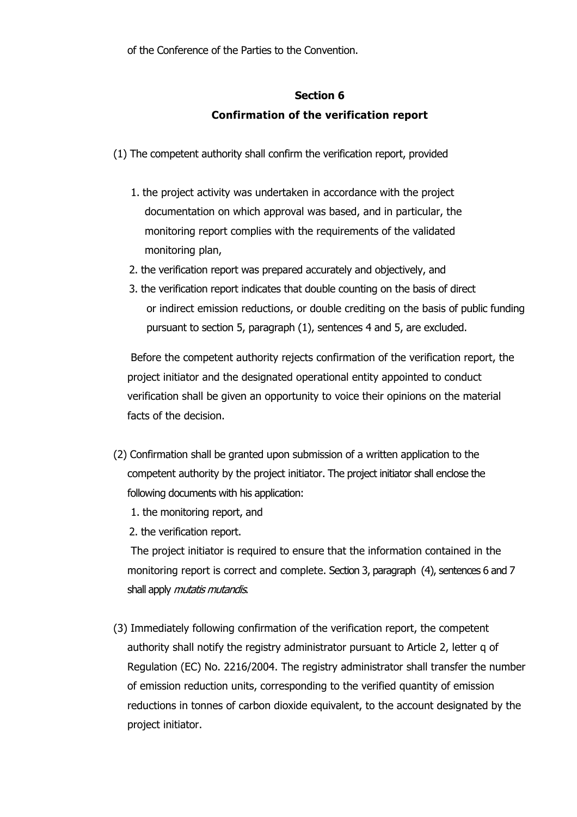of the Conference of the Parties to the Convention.

# **Section 6 Confirmation of the verification report**

- (1) The competent authority shall confirm the verification report, provided
	- 1. the project activity was undertaken in accordance with the project documentation on which approval was based, and in particular, the monitoring report complies with the requirements of the validated monitoring plan,
	- 2. the verification report was prepared accurately and objectively, and
	- 3. the verification report indicates that double counting on the basis of direct or indirect emission reductions, or double crediting on the basis of public funding pursuant to section 5, paragraph (1), sentences 4 and 5, are excluded.

Before the competent authority rejects confirmation of the verification report, the project initiator and the designated operational entity appointed to conduct verification shall be given an opportunity to voice their opinions on the material facts of the decision.

- (2) Confirmation shall be granted upon submission of a written application to the competent authority by the project initiator. The project initiator shall enclose the following documents with his application:
	- 1. the monitoring report, and
	- 2. the verification report.

The project initiator is required to ensure that the information contained in the monitoring report is correct and complete. Section 3, paragraph (4), sentences 6 and 7 shall apply *mutatis mutandis*.

(3) Immediately following confirmation of the verification report, the competent authority shall notify the registry administrator pursuant to Article 2, letter q of Regulation (EC) No. 2216/2004. The registry administrator shall transfer the number of emission reduction units, corresponding to the verified quantity of emission reductions in tonnes of carbon dioxide equivalent, to the account designated by the project initiator.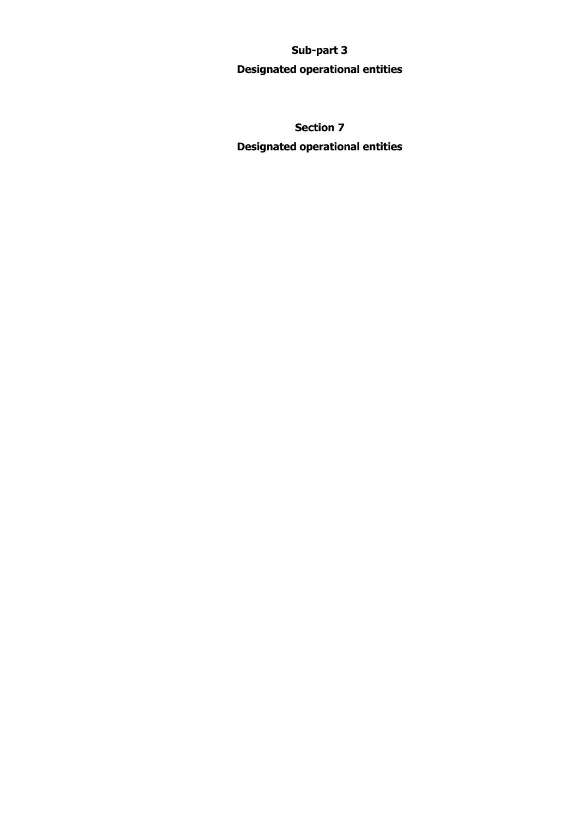## **Sub-part 3**

## **Designated operational entities**

**Section 7 Designated operational entities**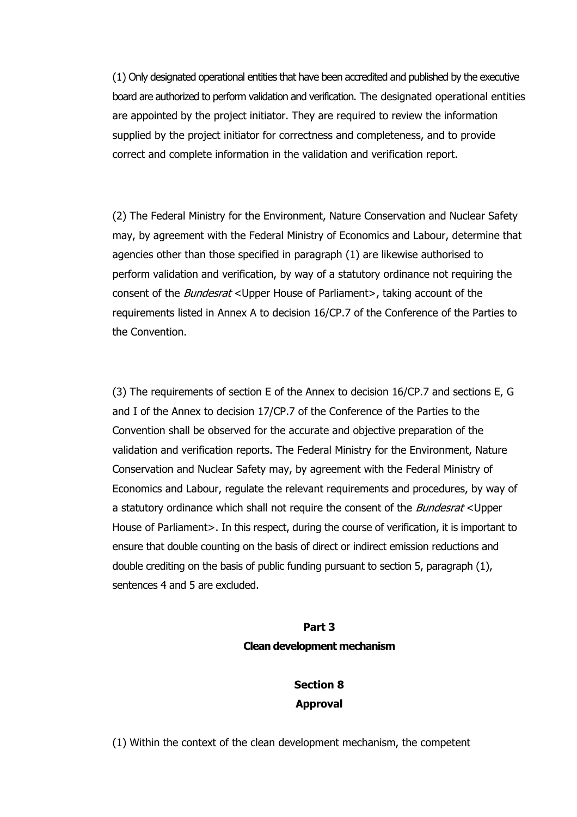(1) Only designated operational entities that have been accredited and published by the executive board are authorized to perform validation and verification. The designated operational entities are appointed by the project initiator. They are required to review the information supplied by the project initiator for correctness and completeness, and to provide correct and complete information in the validation and verification report.

(2) The Federal Ministry for the Environment, Nature Conservation and Nuclear Safety may, by agreement with the Federal Ministry of Economics and Labour, determine that agencies other than those specified in paragraph (1) are likewise authorised to perform validation and verification, by way of a statutory ordinance not requiring the consent of the *Bundesrat* <Upper House of Parliament>, taking account of the requirements listed in Annex A to decision 16/CP.7 of the Conference of the Parties to the Convention.

(3) The requirements of section E of the Annex to decision 16/CP.7 and sections E, G and I of the Annex to decision 17/CP.7 of the Conference of the Parties to the Convention shall be observed for the accurate and objective preparation of the validation and verification reports. The Federal Ministry for the Environment, Nature Conservation and Nuclear Safety may, by agreement with the Federal Ministry of Economics and Labour, regulate the relevant requirements and procedures, by way of a statutory ordinance which shall not require the consent of the *Bundesrat* <Upper House of Parliament>. In this respect, during the course of verification, it is important to ensure that double counting on the basis of direct or indirect emission reductions and double crediting on the basis of public funding pursuant to section 5, paragraph (1), sentences 4 and 5 are excluded.

#### **Part 3**

#### **Clean development mechanism**

# **Section 8 Approval**

(1) Within the context of the clean development mechanism, the competent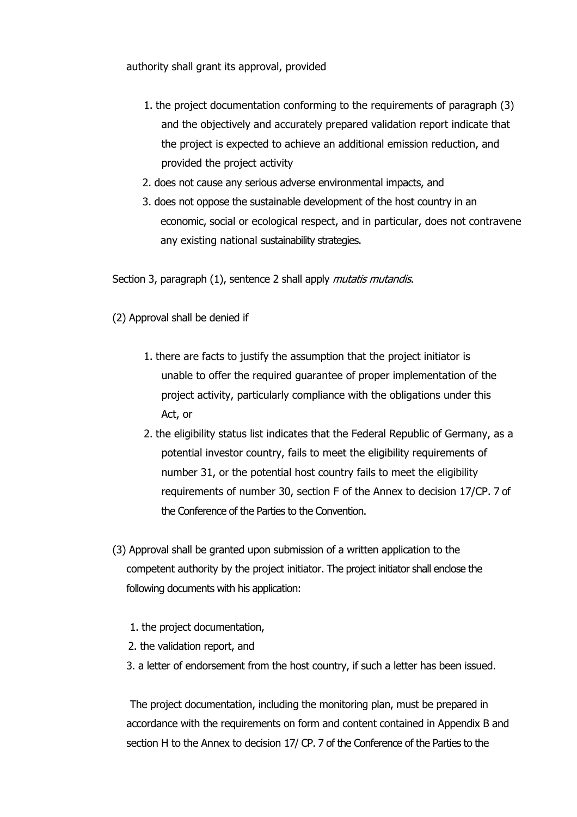authority shall grant its approval, provided

- 1. the project documentation conforming to the requirements of paragraph (3) and the objectively and accurately prepared validation report indicate that the project is expected to achieve an additional emission reduction, and provided the project activity
- 2. does not cause any serious adverse environmental impacts, and
- 3. does not oppose the sustainable development of the host country in an economic, social or ecological respect, and in particular, does not contravene any existing national sustainability strategies.

Section 3, paragraph (1), sentence 2 shall apply *mutatis mutandis*.

(2) Approval shall be denied if

- 1. there are facts to justify the assumption that the project initiator is unable to offer the required guarantee of proper implementation of the project activity, particularly compliance with the obligations under this Act, or
- 2. the eligibility status list indicates that the Federal Republic of Germany, as a potential investor country, fails to meet the eligibility requirements of number 31, or the potential host country fails to meet the eligibility requirements of number 30, section F of the Annex to decision 17/CP. 7 of the Conference of the Parties to the Convention.
- (3) Approval shall be granted upon submission of a written application to the competent authority by the project initiator. The project initiator shall enclose the following documents with his application:
	- 1. the project documentation,
	- 2. the validation report, and
	- 3. a letter of endorsement from the host country, if such a letter has been issued.

The project documentation, including the monitoring plan, must be prepared in accordance with the requirements on form and content contained in Appendix B and section H to the Annex to decision 17/ CP. 7 of the Conference of the Parties to the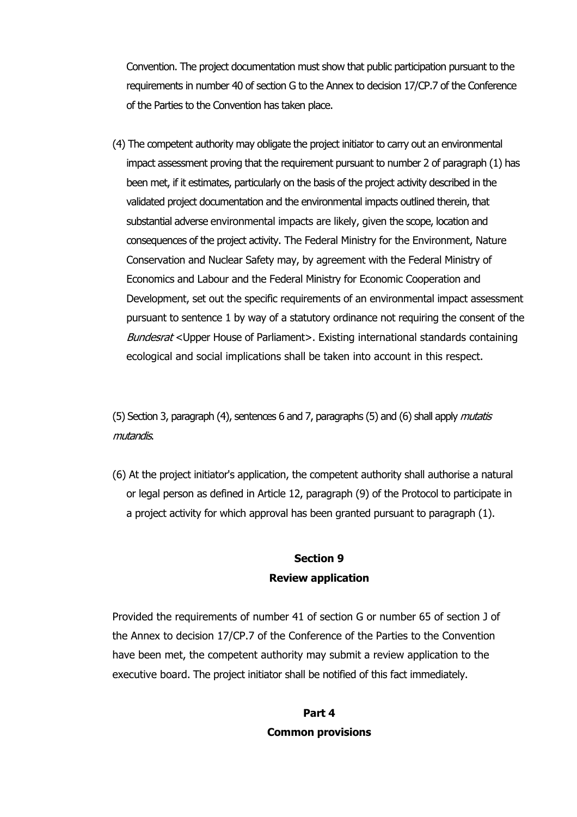Convention. The project documentation must show that public participation pursuant to the requirements in number 40 of section G to the Annex to decision 17/CP.7 of the Conference of the Parties to the Convention has taken place.

(4) The competent authority may obligate the project initiator to carry out an environmental impact assessment proving that the requirement pursuant to number 2 of paragraph (1) has been met, if it estimates, particularly on the basis of the project activity described in the validated project documentation and the environmental impacts outlined therein, that substantial adverse environmental impacts are likely, given the scope, location and consequences of the project activity. The Federal Ministry for the Environment, Nature Conservation and Nuclear Safety may, by agreement with the Federal Ministry of Economics and Labour and the Federal Ministry for Economic Cooperation and Development, set out the specific requirements of an environmental impact assessment pursuant to sentence 1 by way of a statutory ordinance not requiring the consent of the Bundesrat <Upper House of Parliament>. Existing international standards containing ecological and social implications shall be taken into account in this respect.

(5) Section 3, paragraph (4), sentences 6 and 7, paragraphs (5) and (6) shall apply *mutatis* mutandis.

(6) At the project initiator's application, the competent authority shall authorise a natural or legal person as defined in Article 12, paragraph (9) of the Protocol to participate in a project activity for which approval has been granted pursuant to paragraph (1).

## **Section 9 Review application**

Provided the requirements of number 41 of section G or number 65 of section J of the Annex to decision 17/CP.7 of the Conference of the Parties to the Convention have been met, the competent authority may submit a review application to the executive board. The project initiator shall be notified of this fact immediately.

## **Part 4 Common provisions**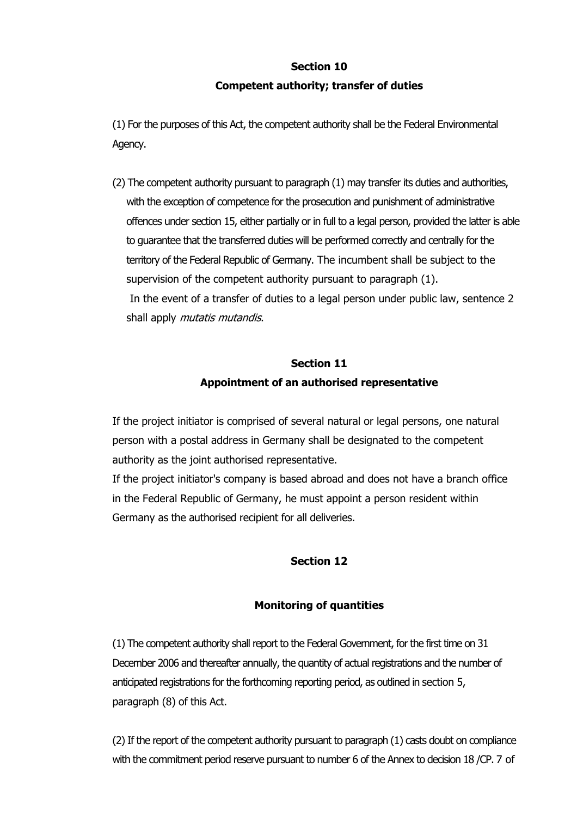# **Section 10 Competent authority; transfer of duties**

(1) For the purposes of this Act, the competent authority shall be the Federal Environmental Agency.

(2) The competent authority pursuant to paragraph (1) may transfer its duties and authorities, with the exception of competence for the prosecution and punishment of administrative offences under section 15, either partially or in full to a legal person, provided the latter is able to guarantee that the transferred duties will be performed correctly and centrally for the territory of the Federal Republic of Germany. The incumbent shall be subject to the supervision of the competent authority pursuant to paragraph (1). In the event of a transfer of duties to a legal person under public law, sentence 2 shall apply *mutatis mutandis*.

# **Section 11 Appointment of an authorised representative**

If the project initiator is comprised of several natural or legal persons, one natural person with a postal address in Germany shall be designated to the competent authority as the joint authorised representative.

If the project initiator's company is based abroad and does not have a branch office in the Federal Republic of Germany, he must appoint a person resident within Germany as the authorised recipient for all deliveries.

## **Section 12**

### **Monitoring of quantities**

(1) The competent authority shall report to the Federal Government, for the first time on 31 December 2006 and thereafter annually, the quantity of actual registrations and the number of anticipated registrations for the forthcoming reporting period, as outlined in section 5, paragraph (8) of this Act.

(2) If the report of the competent authority pursuant to paragraph (1) casts doubt on compliance with the commitment period reserve pursuant to number 6 of the Annex to decision 18 /CP. 7 of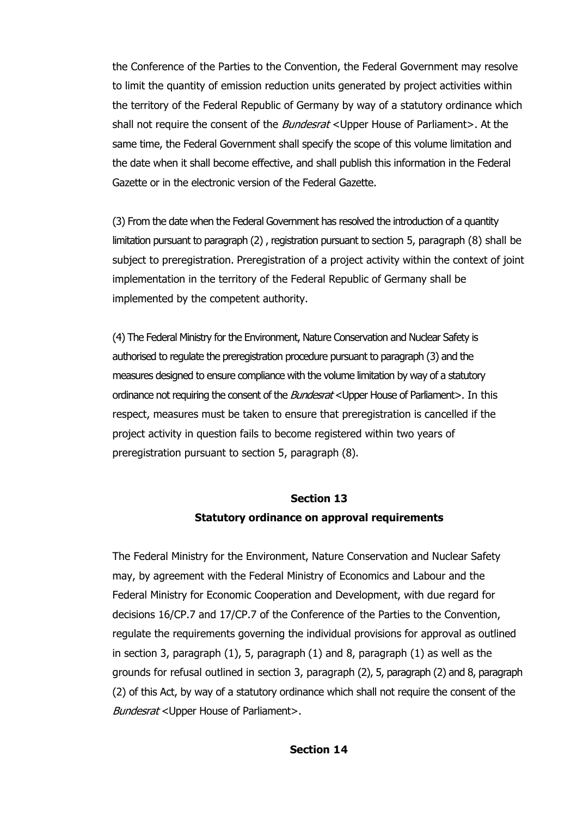the Conference of the Parties to the Convention, the Federal Government may resolve to limit the quantity of emission reduction units generated by project activities within the territory of the Federal Republic of Germany by way of a statutory ordinance which shall not require the consent of the *Bundesrat* <Upper House of Parliament>. At the same time, the Federal Government shall specify the scope of this volume limitation and the date when it shall become effective, and shall publish this information in the Federal Gazette or in the electronic version of the Federal Gazette.

(3) From the date when the Federal Government has resolved the introduction of a quantity limitation pursuant to paragraph (2) , registration pursuant to section 5, paragraph (8) shall be subject to preregistration. Preregistration of a project activity within the context of joint implementation in the territory of the Federal Republic of Germany shall be implemented by the competent authority.

(4) The Federal Ministry for the Environment, Nature Conservation and Nuclear Safety is authorised to regulate the preregistration procedure pursuant to paragraph (3) and the measures designed to ensure compliance with the volume limitation by way of a statutory ordinance not requiring the consent of the *Bundesrat* <Upper House of Parliament>. In this respect, measures must be taken to ensure that preregistration is cancelled if the project activity in question fails to become registered within two years of preregistration pursuant to section 5, paragraph (8).

## **Section 13 Statutory ordinance on approval requirements**

The Federal Ministry for the Environment, Nature Conservation and Nuclear Safety may, by agreement with the Federal Ministry of Economics and Labour and the Federal Ministry for Economic Cooperation and Development, with due regard for decisions 16/CP.7 and 17/CP.7 of the Conference of the Parties to the Convention, regulate the requirements governing the individual provisions for approval as outlined in section 3, paragraph (1), 5, paragraph (1) and 8, paragraph (1) as well as the grounds for refusal outlined in section 3, paragraph (2), 5, paragraph (2) and 8, paragraph (2) of this Act, by way of a statutory ordinance which shall not require the consent of the Bundesrat <Upper House of Parliament>.

**Section 14**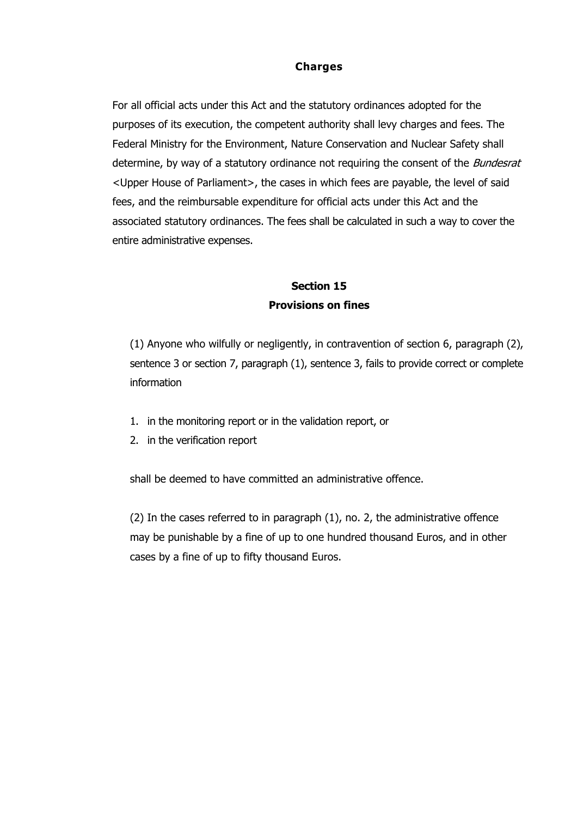#### **Charges**

For all official acts under this Act and the statutory ordinances adopted for the purposes of its execution, the competent authority shall levy charges and fees. The Federal Ministry for the Environment, Nature Conservation and Nuclear Safety shall determine, by way of a statutory ordinance not requiring the consent of the *Bundesrat* <Upper House of Parliament>, the cases in which fees are payable, the level of said fees, and the reimbursable expenditure for official acts under this Act and the associated statutory ordinances. The fees shall be calculated in such a way to cover the entire administrative expenses.

## **Section 15 Provisions on fines**

(1) Anyone who wilfully or negligently, in contravention of section 6, paragraph (2), sentence 3 or section 7, paragraph (1), sentence 3, fails to provide correct or complete information

- 1. in the monitoring report or in the validation report, or
- 2. in the verification report

shall be deemed to have committed an administrative offence.

(2) In the cases referred to in paragraph (1), no. 2, the administrative offence may be punishable by a fine of up to one hundred thousand Euros, and in other cases by a fine of up to fifty thousand Euros.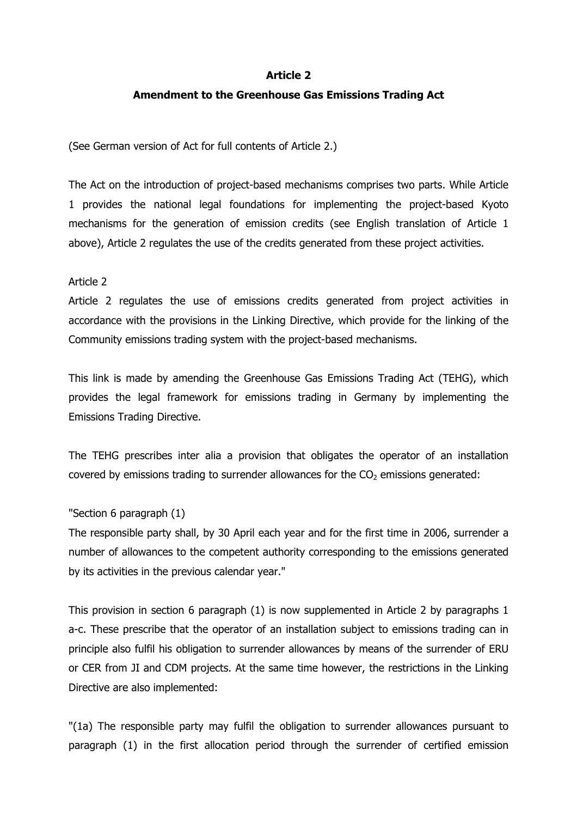#### **Article 2**

#### **Amendment to the Greenhouse Gas Emissions Trading Act**

(See German version of Act for full contents of Article 2.)

The Act on the introduction of project-based mechanisms comprises two parts. While Article 1 provides the national legal foundations for implementing the project-based Kyoto mechanisms for the generation of emission credits (see English translation of Article 1 above), Article 2 regulates the use of the credits generated from these project activities.

#### Article 2

Article 2 regulates the use of emissions credits generated from project activities in accordance with the provisions in the Linking Directive, which provide for the linking of the Community emissions trading system with the project-based mechanisms.

This link is made by amending the Greenhouse Gas Emissions Trading Act (TEHG), which provides the legal framework for emissions trading in Germany by implementing the Emissions Trading Directive.

The TEHG prescribes inter alia a provision that obligates the operator of an installation covered by emissions trading to surrender allowances for the  $CO<sub>2</sub>$  emissions generated:

#### "Section 6 paragraph (1)

The responsible party shall, by 30 April each year and for the first time in 2006, surrender a number of allowances to the competent authority corresponding to the emissions generated by its activities in the previous calendar year."

This provision in section 6 paragraph (1) is now supplemented in Article 2 by paragraphs 1 a-c. These prescribe that the operator of an installation subject to emissions trading can in principle also fulfil his obligation to surrender allowances by means of the surrender of ERU or CER from JI and CDM projects. At the same time however, the restrictions in the Linking Directive are also implemented:

"(1a) The responsible party may fulfil the obligation to surrender allowances pursuant to paragraph (1) in the first allocation period through the surrender of certified emission